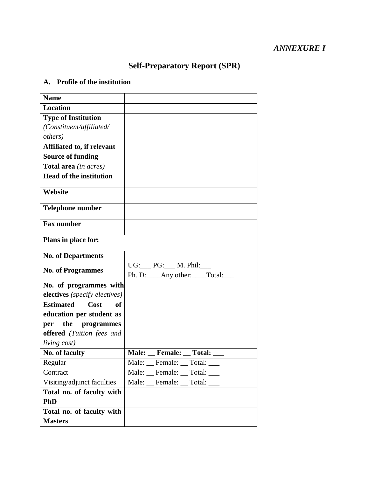# *ANNEXURE I*

# **Self-Preparatory Report (SPR)**

## **A. Profile of the institution**

| <b>Name</b>                           |                                                 |
|---------------------------------------|-------------------------------------------------|
| <b>Location</b>                       |                                                 |
| <b>Type of Institution</b>            |                                                 |
| (Constituent/affiliated/              |                                                 |
| <i>others</i> )                       |                                                 |
| Affiliated to, if relevant            |                                                 |
| <b>Source of funding</b>              |                                                 |
| Total area (in acres)                 |                                                 |
| <b>Head of the institution</b>        |                                                 |
| Website                               |                                                 |
| <b>Telephone number</b>               |                                                 |
| <b>Fax number</b>                     |                                                 |
| Plans in place for:                   |                                                 |
| <b>No. of Departments</b>             |                                                 |
| <b>No. of Programmes</b>              | UG: PG: __ M. Phil:                             |
|                                       | Ph. D:____Any other:____Total:                  |
| No. of programmes with                |                                                 |
| electives (specify electives)         |                                                 |
| <b>Estimated</b><br>Cost<br><b>of</b> |                                                 |
| education per student as              |                                                 |
| the<br>programmes<br>per              |                                                 |
| offered (Tuition fees and             |                                                 |
| living cost)                          |                                                 |
| No. of faculty                        | <b>Total:</b><br><b>Male:</b><br><b>Female:</b> |
| Regular                               | Male:<br>Female:<br>Total:                      |
| Contract                              | Male: Female: Total:                            |
| Visiting/adjunct faculties            | Male: Female: Total:                            |
| Total no. of faculty with             |                                                 |
| <b>PhD</b>                            |                                                 |
| Total no. of faculty with             |                                                 |
| <b>Masters</b>                        |                                                 |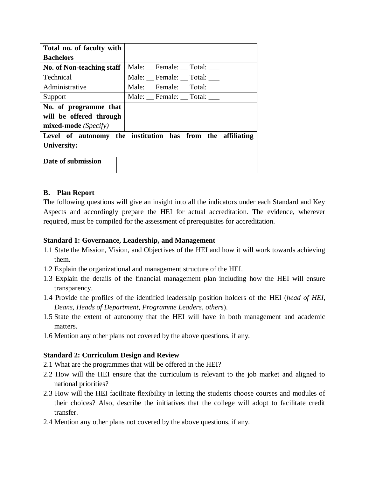| Total no. of faculty with |                                                            |
|---------------------------|------------------------------------------------------------|
| <b>Bachelors</b>          |                                                            |
| No. of Non-teaching staff | Male: Female: Total:                                       |
| <b>Technical</b>          | Male: Female: Total:                                       |
| Administrative            | Male: Female: Total:                                       |
| Support                   | Male: Female: Total:                                       |
| No. of programme that     |                                                            |
| will be offered through   |                                                            |
| mixed-mode (Specify)      |                                                            |
|                           | Level of autonomy the institution has from the affiliating |
| University:               |                                                            |
|                           |                                                            |
| Date of submission        |                                                            |
|                           |                                                            |

#### **B. Plan Report**

The following questions will give an insight into all the indicators under each Standard and Key Aspects and accordingly prepare the HEI for actual accreditation. The evidence, wherever required, must be compiled for the assessment of prerequisites for accreditation.

#### **Standard 1: Governance, Leadership, and Management**

- 1.1 State the Mission, Vision, and Objectives of the HEI and how it will work towards achieving them.
- 1.2 Explain the organizational and management structure of the HEI.
- 1.3 Explain the details of the financial management plan including how the HEI will ensure transparency.
- 1.4 Provide the profiles of the identified leadership position holders of the HEI (*head of HEI, Deans, Heads of Department, Programme Leaders, others*).
- 1.5 State the extent of autonomy that the HEI will have in both management and academic matters.
- 1.6 Mention any other plans not covered by the above questions, if any.

#### **Standard 2: Curriculum Design and Review**

- 2.1 What are the programmes that will be offered in the HEI?
- 2.2 How will the HEI ensure that the curriculum is relevant to the job market and aligned to national priorities?
- 2.3 How will the HEI facilitate flexibility in letting the students choose courses and modules of their choices? Also, describe the initiatives that the college will adopt to facilitate credit transfer.
- 2.4 Mention any other plans not covered by the above questions, if any.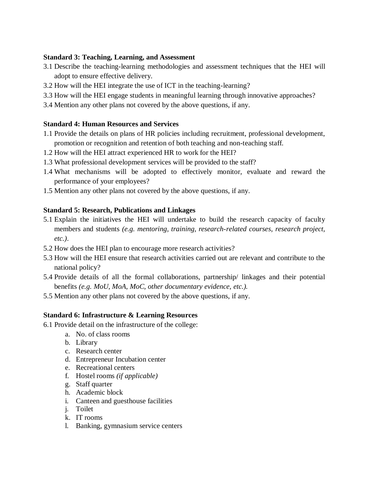#### **Standard 3: Teaching, Learning, and Assessment**

- 3.1 Describe the teaching-learning methodologies and assessment techniques that the HEI will adopt to ensure effective delivery.
- 3.2 How will the HEI integrate the use of ICT in the teaching-learning?
- 3.3 How will the HEI engage students in meaningful learning through innovative approaches?
- 3.4 Mention any other plans not covered by the above questions, if any.

#### **Standard 4: Human Resources and Services**

- 1.1 Provide the details on plans of HR policies including recruitment, professional development, promotion or recognition and retention of both teaching and non-teaching staff.
- 1.2 How will the HEI attract experienced HR to work for the HEI?
- 1.3 What professional development services will be provided to the staff?
- 1.4 What mechanisms will be adopted to effectively monitor, evaluate and reward the performance of your employees?
- 1.5 Mention any other plans not covered by the above questions, if any.

## **Standard 5: Research, Publications and Linkages**

- 5.1 Explain the initiatives the HEI will undertake to build the research capacity of faculty members and students *(e.g. mentoring, training, research-related courses, research project, etc.)*.
- 5.2 How does the HEI plan to encourage more research activities?
- 5.3 How will the HEI ensure that research activities carried out are relevant and contribute to the national policy?
- 5.4 Provide details of all the formal collaborations, partnership/ linkages and their potential benefits *(e.g. MoU, MoA, MoC, other documentary evidence, etc.).*
- 5.5 Mention any other plans not covered by the above questions, if any.

# **Standard 6: Infrastructure & Learning Resources**

- 6.1 Provide detail on the infrastructure of the college:
	- a. No. of class rooms
	- b. Library
	- c. Research center
	- d. Entrepreneur Incubation center
	- e. Recreational centers
	- f. Hostel rooms *(if applicable)*
	- g. Staff quarter
	- h. Academic block
	- i. Canteen and guesthouse facilities
	- j. Toilet
	- k. IT rooms
	- l. Banking, gymnasium service centers